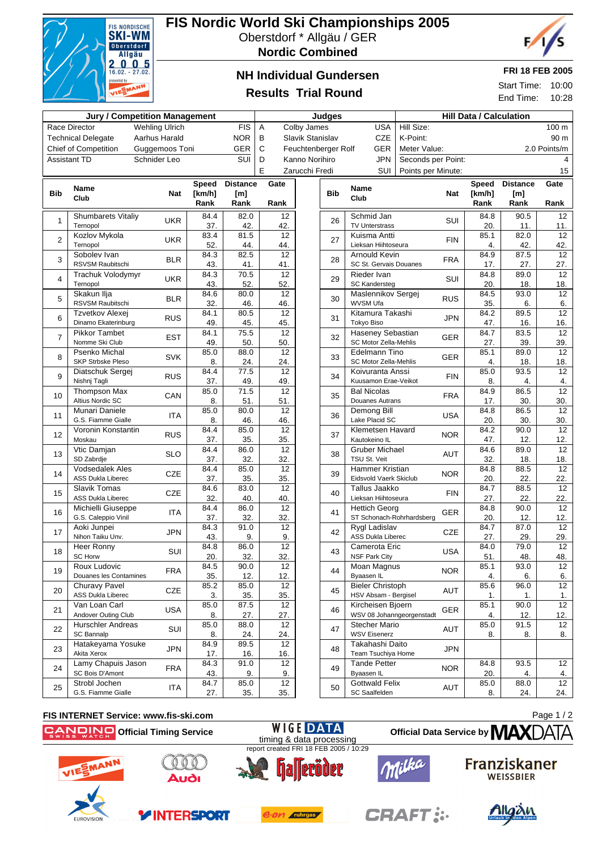

## **FIS Nordic World Ski Championships 2005** Oberstdorf \* Allgäu / GER

**Nordic Combined**



## **NH Individual Gundersen**

### **FRI 18 FEB 2005**

Start Time: 10:00 End Time: 10:28

# **Results Trial Round**

| <b>Jury / Competition Management</b>   |                                                |                       |             |                 | Judges |                        |                  |            | <b>Hill Data / Calculation</b>                    |                    |            |              |                 |                        |
|----------------------------------------|------------------------------------------------|-----------------------|-------------|-----------------|--------|------------------------|------------------|------------|---------------------------------------------------|--------------------|------------|--------------|-----------------|------------------------|
|                                        | Race Director                                  | <b>Wehling Ulrich</b> |             | <b>FIS</b>      | Α      |                        | Colby James      |            | <b>USA</b>                                        | Hill Size:         |            |              |                 | 100 m                  |
|                                        | <b>Technical Delegate</b>                      | Aarhus Harald         |             | <b>NOR</b>      | в      |                        | Slavik Stanislav |            | <b>CZE</b>                                        | K-Point:           |            |              |                 | 90 m                   |
| Guggemoos Toni<br>Chief of Competition |                                                |                       | GER         | C               |        | Feuchtenberger Rolf    |                  | <b>GER</b> | Meter Value:                                      |                    |            |              | 2.0 Points/m    |                        |
|                                        | <b>Assistant TD</b>                            | Schnider Leo          |             | SUI             | D      |                        | Kanno Norihiro   |            | <b>JPN</b>                                        | Seconds per Point: |            |              |                 |                        |
|                                        |                                                |                       |             |                 | E      |                        | Zarucchi Fredi   |            | SUI                                               | Points per Minute: |            |              |                 | 15                     |
|                                        | <b>Name</b>                                    |                       | Speed       | <b>Distance</b> |        | Gate                   |                  |            | <b>Name</b>                                       |                    |            | <b>Speed</b> | <b>Distance</b> | Gate                   |
| <b>Bib</b>                             | Club                                           | <b>Nat</b>            | [ $km/h$ ]  | [m]             |        |                        |                  | <b>Bib</b> | Club                                              |                    | Nat        | [km/h]       | [m]             |                        |
|                                        |                                                |                       | Rank        | Rank            |        | Rank                   |                  |            |                                                   |                    |            | Rank         | Rank            | Rank                   |
| $\mathbf{1}$                           | <b>Shumbarets Vitaliy</b><br>Ternopol          | <b>UKR</b>            | 84.4<br>37. | 82.0<br>42.     |        | 12<br>42.              |                  | 26         | Schmid Jan<br><b>TV Unterstrass</b>               |                    | SUI        | 84.8<br>20.  | 90.5<br>11.     | 12<br>11.              |
| $\overline{2}$                         | Kozlov Mykola                                  | <b>UKR</b>            | 83.4        | 81.5            |        | $\overline{12}$        |                  | 27         | Kuisma Antti                                      |                    | <b>FIN</b> | 85.1         | 82.0            | 12                     |
|                                        | Ternopol                                       |                       | 52.         | 44.             |        | 44.                    |                  |            | Lieksan Hiihtoseura                               |                    |            | 4.           | 42.             | 42.                    |
| 3                                      | Sobolev Ivan                                   | <b>BLR</b>            | 84.3        | 82.5            |        | $\overline{12}$        |                  | 28         | Arnould Kevin                                     |                    | <b>FRA</b> | 84.9         | 87.5            | $\overline{12}$        |
|                                        | RSVSM Raubitschi<br>Trachuk Volodymyr          |                       | 43.<br>84.3 | 41.<br>70.5     |        | 41.<br>$\overline{12}$ |                  |            | SC St. Gervais Douanes<br>Rieder Ivan             |                    |            | 17.<br>84.8  | 27.<br>89.0     | 27.<br>$\overline{12}$ |
| 4                                      | Ternopol                                       | <b>UKR</b>            | 43.         | 52.             |        | 52.                    |                  | 29         | <b>SC Kandersteg</b>                              |                    | SUI        | 20.          | 18.             | 18.                    |
|                                        | Skakun Ilja                                    |                       | 84.6        | 80.0            |        | 12                     |                  |            | Maslennikov Sergej                                |                    |            | 84.5         | 93.0            | $\overline{12}$        |
| 5                                      | RSVSM Raubitschi                               | <b>BLR</b>            | 32.         | 46.             |        | 46.                    |                  | 30         | <b>WVSM Ufa</b>                                   |                    | <b>RUS</b> | 35.          | 6.              | 6.                     |
| 6                                      | Tzvetkov Alexej                                | <b>RUS</b>            | 84.1        | 80.5            |        | 12                     |                  | 31         | Kitamura Takashi                                  |                    | <b>JPN</b> | 84.2         | 89.5            | 12                     |
|                                        | Dinamo Ekaterinburg<br><b>Pikkor Tambet</b>    |                       | 49.<br>84.1 | 45.<br>75.5     |        | 45.<br>12              |                  |            | Tokyo Biso<br>Haseney Sebastian                   |                    |            | 47.<br>84.7  | 16.<br>83.5     | 16.<br>12              |
| $\overline{7}$                         | Nomme Ski Club                                 | <b>EST</b>            | 49.         | 50.             |        | 50.                    |                  | 32         | SC Motor Zella-Mehlis                             |                    | GER        | 27.          | 39.             | 39.                    |
|                                        | Psenko Michal                                  | SVK                   | 85.0        | 88.0            |        | 12                     |                  |            | Edelmann Tino                                     |                    | <b>GER</b> | 85.1         | 89.0            | 12                     |
| 8                                      | <b>SKP Strbske Pleso</b>                       |                       | 8.          | 24.             |        | 24.                    |                  | 33         | SC Motor Zella-Mehlis                             |                    |            | 4.           | 18.             | 18.                    |
| 9                                      | Diatschuk Sergej                               | <b>RUS</b>            | 84.4        | 77.5            |        | 12                     |                  | 34         | Koivuranta Anssi                                  |                    | <b>FIN</b> | 85.0         | 93.5            | 12                     |
|                                        | Nishnj Tagli<br><b>Thompson Max</b>            |                       | 37.<br>85.0 | 49.<br>71.5     |        | 49.<br>12              |                  |            | Kuusamon Erae-Veikot<br><b>Bal Nicolas</b>        |                    |            | 8.<br>84.9   | 4.<br>86.5      | 4.<br>12               |
| 10                                     | Altius Nordic SC                               | CAN                   | 8.          | 51.             |        | 51.                    |                  | 35         | Douanes Autrans                                   |                    | <b>FRA</b> | 17.          | 30.             | 30.                    |
| 11                                     | Munari Daniele                                 | ITA                   | 85.0        | 80.0            |        | $\overline{12}$        |                  | 36         | Demong Bill                                       |                    | <b>USA</b> | 84.8         | 86.5            | $\overline{12}$        |
|                                        | G.S. Fiamme Gialle                             |                       | 8.          | 46.             |        | 46.                    |                  |            | Lake Placid SC                                    |                    |            | 20.          | 30.             | 30.                    |
| 12                                     | Voronin Konstantin<br>Moskau                   | <b>RUS</b>            | 84.4<br>37. | 85.0<br>35.     |        | 12<br>35.              |                  | 37         | Klemetsen Havard<br>Kautokeino IL                 |                    | <b>NOR</b> | 84.2<br>47.  | 90.0<br>12.     | 12                     |
|                                        | Vtic Damjan                                    |                       | 84.4        | 86.0            |        | 12                     |                  |            | <b>Gruber Michael</b>                             |                    |            | 84.6         | 89.0            | 12.<br>12              |
| 13                                     | SD Zabrdje                                     | <b>SLO</b>            | 37.         | 32.             |        | 32.                    |                  | 38         | TSU St. Veit                                      |                    | <b>AUT</b> | 32.          | 18.             | 18.                    |
| 14                                     | <b>Vodsedalek Ales</b>                         | <b>CZE</b>            | 84.4        | 85.0            |        | 12                     |                  | 39         | Hammer Kristian                                   |                    | <b>NOR</b> | 84.8         | 88.5            | $\overline{12}$        |
|                                        | <b>ASS Dukla Liberec</b>                       |                       | 37.         | 35.             |        | 35.                    |                  |            | Eidsvold Vaerk Skiclub                            |                    |            | 20.          | 22.             | 22.                    |
| 15                                     | <b>Slavik Tomas</b>                            | <b>CZE</b>            | 84.6        | 83.0            |        | 12                     |                  | 40         | Tallus Jaakko                                     |                    | <b>FIN</b> | 84.7         | 88.5            | 12                     |
|                                        | <b>ASS Dukla Liberec</b><br>Michielli Giuseppe |                       | 32.<br>84.4 | 40.<br>86.0     |        | 40.<br>$\overline{12}$ |                  |            | Lieksan Hiihtoseura<br><b>Hettich Georg</b>       |                    |            | 27.<br>84.8  | 22.<br>90.0     | 22.<br>12              |
| 16                                     | G.S. Caleppio Vinil                            | ITA                   | 37.         | 32.             |        | 32.                    |                  | 41         | ST Schonach-Rohrhardsberg                         |                    | GER        | 20.          | 12.             | 12.                    |
| 17                                     | Aoki Junpei                                    | <b>JPN</b>            | 84.3        | 91.0            |        | $\overline{12}$        |                  | 42         | Rygl Ladislav                                     |                    | <b>CZE</b> | 84.7         | 87.0            | 12                     |
|                                        | Nihon Taiku Unv.                               |                       | 43.         | 9.              |        | 9.                     |                  |            | <b>ASS Dukla Liberec</b>                          |                    |            | 27.          | 29.             | 29.                    |
| 18                                     | Heer Ronny<br><b>SC Horw</b>                   | SUI                   | 84.8<br>20. | 86.0<br>32.     |        | 12                     |                  | 43         | Camerota Eric<br>NSF Park City                    |                    | <b>USA</b> | 84.0<br>51.  | 79.0<br>48.     | 12<br>48.              |
|                                        | Roux Ludovic                                   |                       | 84.5        | 90.0            |        | 32.<br>12 <sup>2</sup> |                  |            | Moan Magnus                                       |                    |            | 85.1         | 93.0            | 12                     |
| 19                                     | Douanes les Contamines                         | <b>FRA</b>            | 35.         | 12.             |        | 12.                    |                  | 44         | Byaasen IL                                        |                    | <b>NOR</b> | 4.           | 6.              | 6.                     |
| 20                                     | <b>Churavy Pavel</b>                           | CZE                   | 85.2        | 85.0            |        | 12                     |                  | 45         | <b>Bieler Christoph</b>                           |                    | AUT        | 85.6         | 96.0            | 12                     |
|                                        | <b>ASS Dukla Liberec</b>                       |                       | 3.          | 35.             |        | 35.                    |                  |            | HSV Absam - Bergisel                              |                    |            | 1.           | 1.              | 1.                     |
| 21                                     | Van Loan Carl                                  | <b>USA</b>            | 85.0        | 87.5            |        | 12                     |                  | 46         | Kircheisen Bjoern                                 |                    | GER        | 85.1         | 90.0            | 12                     |
|                                        | Andover Outing Club<br>Hurschler Andreas       |                       | 8.<br>85.0  | 27.<br>88.0     |        | 27.<br>12              |                  |            | WSV 08 Johanngeorgenstadt<br><b>Stecher Mario</b> |                    |            | 4.<br>85.0   | 12.<br>91.5     | 12.<br>12              |
| 22                                     | SC Bannalp                                     | SUI                   | 8.          | 24.             |        | 24.                    |                  | 47         | <b>WSV Eisenerz</b>                               |                    | AUT        | 8.           | 8.              | 8.                     |
| 23                                     | Hatakeyama Yosuke                              | <b>JPN</b>            | 84.9        | 89.5            |        | 12                     |                  | 48         | Takahashi Daito                                   |                    | JPN        |              |                 |                        |
|                                        | Akita Xerox                                    |                       | 17.         | 16.             |        | 16.                    |                  |            | Team Tsuchiya Home                                |                    |            |              |                 |                        |
| 24                                     | Lamy Chapuis Jason<br>SC Bois D'Amont          | <b>FRA</b>            | 84.3<br>43. | 91.0<br>9.      |        | 12                     |                  | 49         | <b>Tande Petter</b><br>Byaasen IL                 |                    | <b>NOR</b> | 84.8<br>20.  | 93.5            | 12                     |
|                                        | Strobl Jochen                                  |                       | 84.7        | 85.0            |        | 9.<br>12               |                  |            | <b>Gottwald Felix</b>                             |                    |            | 85.0         | 4.<br>88.0      | 4.<br>12               |
| 25                                     | G.S. Fiamme Gialle                             | ITA                   | 27.         | 35.             |        | 35.                    |                  | 50         | SC Saalfelden                                     |                    | AUT        | 8.           | 24.             | 24.                    |

#### **FIS INTERNET Service: www.fis-ski.com**

**Official Timing Service**



Teröder





Page 1 / 2

**Official Data Service by MAX** 





**YINTERSPORT**